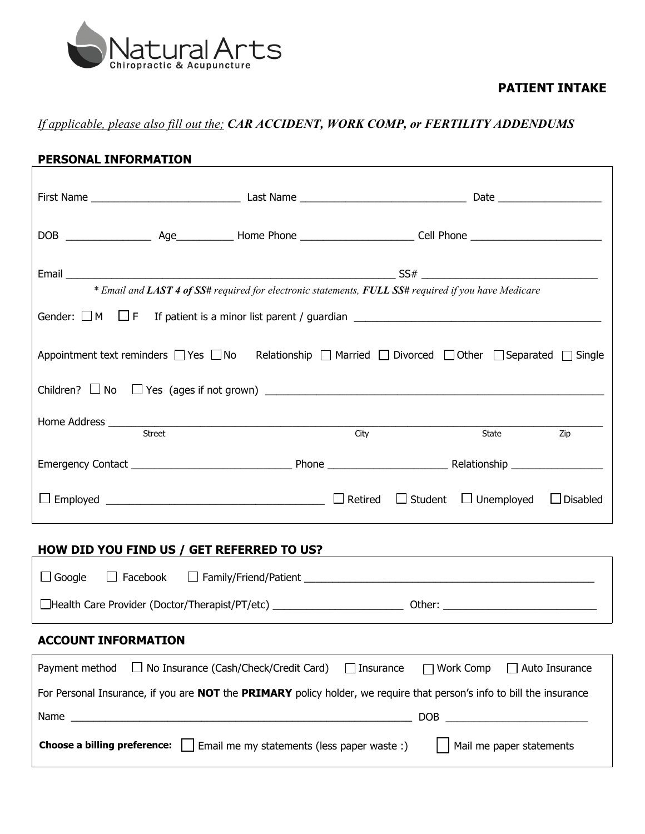

### **PATIENT INTAKE**

## *If applicable, please also fill out the; CAR ACCIDENT, WORK COMP, or FERTILITY ADDENDUMS*

| PERSONAL INFORMATION                                                                                                                    |                                              |      |                  |                                  |                 |  |  |
|-----------------------------------------------------------------------------------------------------------------------------------------|----------------------------------------------|------|------------------|----------------------------------|-----------------|--|--|
|                                                                                                                                         |                                              |      |                  |                                  |                 |  |  |
|                                                                                                                                         |                                              |      |                  |                                  |                 |  |  |
| * Email and LAST 4 of SS# required for electronic statements, FULL SS# required if you have Medicare                                    |                                              |      |                  |                                  |                 |  |  |
|                                                                                                                                         |                                              |      |                  |                                  |                 |  |  |
| Appointment text reminders $\Box$ Yes $\Box$ No Relationship $\Box$ Married $\Box$ Divorced $\Box$ Other $\Box$ Separated $\Box$ Single |                                              |      |                  |                                  |                 |  |  |
| Children? $\Box$ No $\Box$ Yes (ages if not grown) $\Box$                                                                               |                                              |      |                  |                                  |                 |  |  |
|                                                                                                                                         | Street                                       | City |                  | State                            | Zip             |  |  |
|                                                                                                                                         |                                              |      |                  |                                  |                 |  |  |
|                                                                                                                                         |                                              |      |                  | $\Box$ Student $\Box$ Unemployed | $\Box$ Disabled |  |  |
| HOW DID YOU FIND US / GET REFERRED TO US?                                                                                               |                                              |      |                  |                                  |                 |  |  |
| $\Box$ Google                                                                                                                           |                                              |      |                  |                                  |                 |  |  |
|                                                                                                                                         |                                              |      |                  |                                  |                 |  |  |
| <b>ACCOUNT INFORMATION</b>                                                                                                              |                                              |      |                  |                                  |                 |  |  |
| Payment method                                                                                                                          | $\Box$ No Insurance (Cash/Check/Credit Card) |      | $\Box$ Insurance | Work Comp                        | Auto Insurance  |  |  |
| For Personal Insurance, if you are NOT the PRIMARY policy holder, we require that person's info to bill the insurance                   |                                              |      |                  |                                  |                 |  |  |
| Name                                                                                                                                    |                                              |      | <b>DOB</b>       |                                  |                 |  |  |

**Choose a billing preference:** □ Email me my statements (less paper waste :) △ △ Mail me paper statements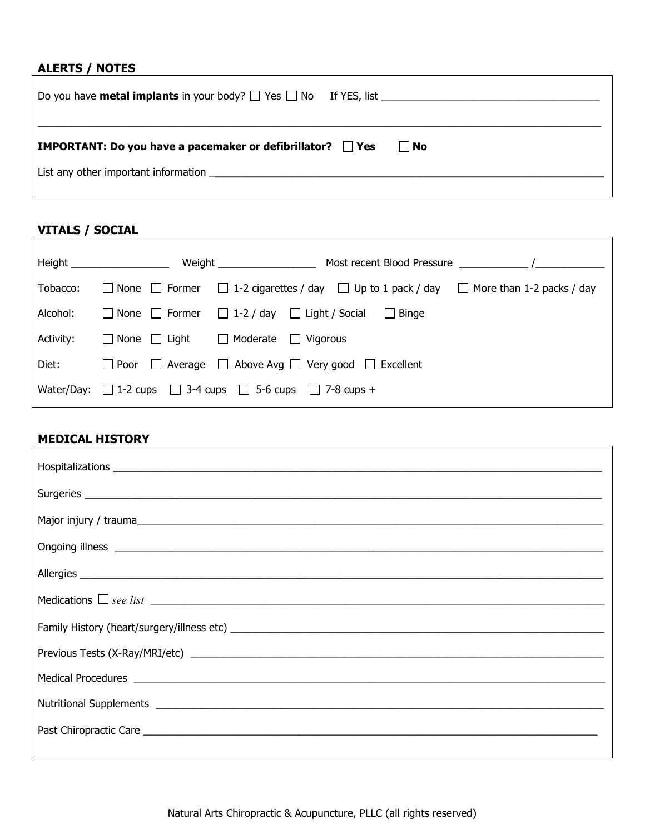## **ALERTS / NOTES**

| <b>IMPORTANT:</b> Do you have a pacemaker or defibrillator? $\Box$ Yes<br>l INo |  |
|---------------------------------------------------------------------------------|--|

# **VITALS / SOCIAL**

|           | Height <b>Exercise Service Service</b> | Most recent Blood Pressure                                                                                |
|-----------|----------------------------------------|-----------------------------------------------------------------------------------------------------------|
| Tobacco:  |                                        | None $\Box$ Former $\Box$ 1-2 cigarettes / day $\Box$ Up to 1 pack / day $\Box$ More than 1-2 packs / day |
| Alcohol:  |                                        | $\Box$ None $\Box$ Former $\Box$ 1-2 / day $\Box$ Light / Social $\Box$ Binge                             |
| Activity: |                                        | $\Box$ None $\Box$ Light $\Box$ Moderate $\Box$ Vigorous                                                  |
| Diet:     |                                        | $\Box$ Poor $\Box$ Average $\Box$ Above Avg $\Box$ Very good $\Box$ Excellent                             |
|           |                                        | Water/Day: $\Box$ 1-2 cups $\Box$ 3-4 cups $\Box$ 5-6 cups $\Box$ 7-8 cups +                              |

٦

### **MEDICAL HISTORY**

| Medications $\Box$ see list $\Box$ |  |  |  |
|------------------------------------|--|--|--|
|                                    |  |  |  |
|                                    |  |  |  |
|                                    |  |  |  |
|                                    |  |  |  |
|                                    |  |  |  |
|                                    |  |  |  |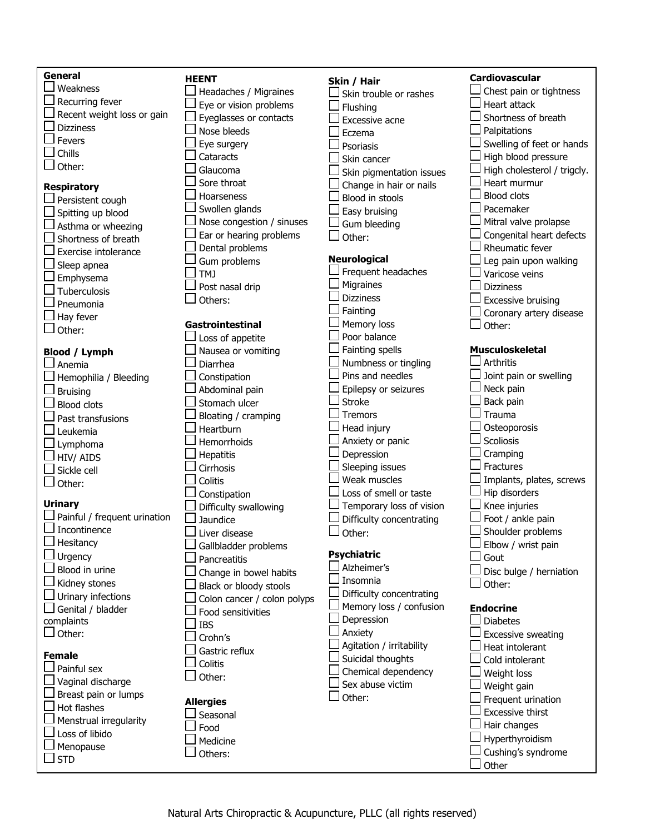| <b>General</b>                      | <b>HEENT</b>                | Skin / Hair                       | <b>Cardiovascular</b>       |
|-------------------------------------|-----------------------------|-----------------------------------|-----------------------------|
| Weakness                            | Headaches / Migraines       | Skin trouble or rashes            | Chest pain or tightness     |
| Recurring fever                     | Eye or vision problems      | Flushing                          | <b>Heart attack</b>         |
| Recent weight loss or gain          | Eyeglasses or contacts      | Excessive acne                    | Shortness of breath         |
| <b>Dizziness</b>                    | Nose bleeds                 | Eczema                            | Palpitations                |
| Fevers                              | Eye surgery                 | Psoriasis                         | Swelling of feet or hands   |
| Chills                              | Cataracts                   | Skin cancer                       | High blood pressure         |
| Other:                              | Glaucoma                    | Skin pigmentation issues          | High cholesterol / trigcly. |
| <b>Respiratory</b>                  | Sore throat                 | Change in hair or nails           | Heart murmur                |
| Persistent cough                    | Hoarseness                  | Blood in stools                   | <b>Blood clots</b>          |
| Spitting up blood                   | Swollen glands              | Easy bruising                     | Pacemaker                   |
| Asthma or wheezing                  | Nose congestion / sinuses   | Gum bleeding                      | Mitral valve prolapse       |
| Shortness of breath                 | Ear or hearing problems     | Other:                            | Congenital heart defects    |
| Exercise intolerance                | Dental problems             |                                   | Rheumatic fever             |
| Sleep apnea                         | Gum problems                | <b>Neurological</b>               | Leg pain upon walking       |
| Emphysema                           | TMJ                         | Frequent headaches                | Varicose veins              |
| Tuberculosis                        | Post nasal drip             | Migraines                         | <b>Dizziness</b>            |
| Pneumonia                           | Others:                     | <b>Dizziness</b>                  | <b>Excessive bruising</b>   |
| Hay fever                           |                             | Fainting                          | Coronary artery disease     |
| Other:                              | Gastrointestinal            | Memory loss                       | Other:                      |
|                                     | Loss of appetite            | Poor balance                      |                             |
| <b>Blood / Lymph</b>                | Nausea or vomiting          | Fainting spells                   | <b>Musculoskeletal</b>      |
| ⊿ Anemia                            | Diarrhea                    | Numbness or tingling              | <b>Arthritis</b>            |
| Hemophilia / Bleeding               | Constipation                | Pins and needles                  | Joint pain or swelling      |
| <b>Bruising</b>                     | Abdominal pain              | Epilepsy or seizures              | Neck pain                   |
| <b>Blood clots</b>                  | Stomach ulcer               | <b>Stroke</b>                     | Back pain                   |
| Past transfusions                   | Bloating / cramping         | Tremors                           | Trauma                      |
| Leukemia                            | Heartburn                   | Head injury                       | Osteoporosis                |
| Lymphoma                            | Hemorrhoids                 | Anxiety or panic                  | Scoliosis                   |
| HIV/ AIDS                           | <b>Hepatitis</b>            | Depression                        | Cramping                    |
| Sickle cell                         | Cirrhosis                   | Sleeping issues                   | Fractures                   |
| Other:                              | Colitis                     | Weak muscles                      | Implants, plates, screws    |
|                                     | Constipation                | Loss of smell or taste            | Hip disorders               |
| <b>Urinary</b>                      | Difficulty swallowing       | Temporary loss of vision          | Knee injuries               |
| Painful / frequent urination        | Jaundice                    | Difficulty concentrating          | Foot / ankle pain           |
| Incontinence                        | Liver disease               | Other:                            | Shoulder problems           |
| $\Box$ Hesitancy                    | Gallbladder problems        |                                   | Elbow / wrist pain          |
| Urgency                             | Pancreatitis                | <b>Psychiatric</b><br>Alzheimer's | Gout                        |
| Blood in urine                      | Change in bowel habits      |                                   | Disc bulge / herniation     |
| Kidney stones                       | Black or bloody stools      | Insomnia                          | Other:                      |
| Urinary infections                  | Colon cancer / colon polyps | Difficulty concentrating          |                             |
| Genital / bladder                   | Food sensitivities          | Memory loss / confusion           | <b>Endocrine</b>            |
| complaints                          | <b>IBS</b>                  | Depression                        | <b>Diabetes</b>             |
| Other:                              | Crohn's                     | Anxiety                           | <b>Excessive sweating</b>   |
|                                     | Gastric reflux              | Agitation / irritability          | Heat intolerant             |
| <b>Female</b><br>Painful sex        | Colitis                     | Suicidal thoughts                 | Cold intolerant             |
|                                     | Other:                      | Chemical dependency               | Weight loss                 |
| Vaginal discharge                   |                             | Sex abuse victim                  | Weight gain                 |
| Breast pain or lumps<br>Hot flashes | <b>Allergies</b>            | Other:                            | Frequent urination          |
|                                     | Seasonal                    |                                   | Excessive thirst            |
| Menstrual irregularity              | Food                        |                                   | Hair changes                |
| Loss of libido                      | Medicine                    |                                   | Hyperthyroidism             |
| Menopause                           | Others:                     |                                   | Cushing's syndrome          |
| <b>STD</b>                          |                             |                                   | Other                       |